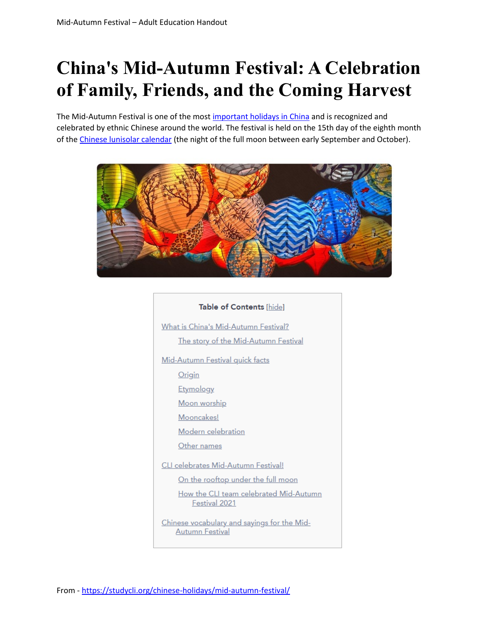# **China's Mid-Autumn Festival: A Celebration of Family, Friends, and the Coming Harvest**

The Mid-Autumn Festival is one of the most [important holidays in China](https://studycli.org/chinese-holidays/) and is recognized and celebrated by ethnic Chinese around the world. The festival is held on the 15th day of the eighth month of the [Chinese lunisolar calendar](https://studycli.org/chinese-culture/chinese-calendar/) (the night of the full moon between early September and October).



# Table of Contents [hide] What is China's Mid-Autumn Festival? The story of the Mid-Autumn Festival Mid-Autumn Festival quick facts Origin **Etymology** Moon worship Mooncakes! Modern celebration Other names CLI celebrates Mid-Autumn Festival! On the rooftop under the full moon How the CLI team celebrated Mid-Autumn Festival 2021 Chinese vocabulary and sayings for the Mid-**Autumn Festival**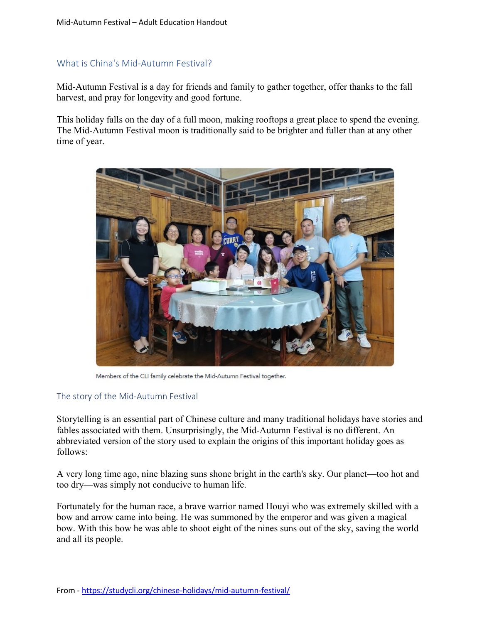## What is China's Mid-Autumn Festival?

Mid-Autumn Festival is a day for friends and family to gather together, offer thanks to the fall harvest, and pray for longevity and good fortune.

This holiday falls on the day of a full moon, making rooftops a great place to spend the evening. The Mid-Autumn Festival moon is traditionally said to be brighter and fuller than at any other time of year.



Members of the CLI family celebrate the Mid-Autumn Festival together.

#### The story of the Mid-Autumn Festival

Storytelling is an essential part of Chinese culture and many traditional holidays have stories and fables associated with them. Unsurprisingly, the Mid-Autumn Festival is no different. An abbreviated version of the story used to explain the origins of this important holiday goes as follows:

A very long time ago, nine blazing suns shone bright in the earth's sky. Our planet—too hot and too dry—was simply not conducive to human life.

Fortunately for the human race, a brave warrior named Houyi who was extremely skilled with a bow and arrow came into being. He was summoned by the emperor and was given a magical bow. With this bow he was able to shoot eight of the nines suns out of the sky, saving the world and all its people.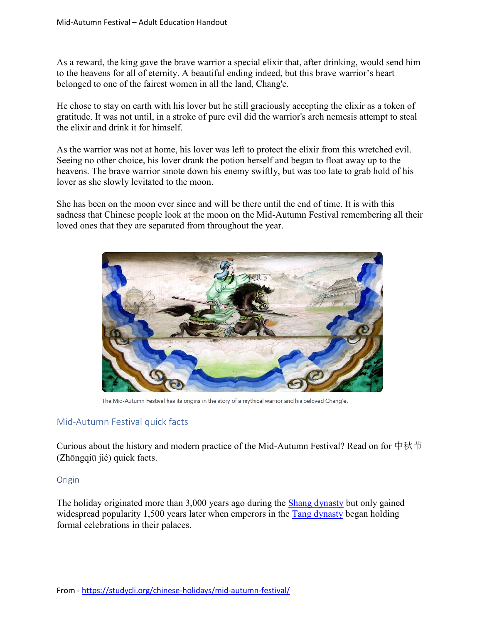As a reward, the king gave the brave warrior a special elixir that, after drinking, would send him to the heavens for all of eternity. A beautiful ending indeed, but this brave warrior's heart belonged to one of the fairest women in all the land, Chang'e.

He chose to stay on earth with his lover but he still graciously accepting the elixir as a token of gratitude. It was not until, in a stroke of pure evil did the warrior's arch nemesis attempt to steal the elixir and drink it for himself.

As the warrior was not at home, his lover was left to protect the elixir from this wretched evil. Seeing no other choice, his lover drank the potion herself and began to float away up to the heavens. The brave warrior smote down his enemy swiftly, but was too late to grab hold of his lover as she slowly levitated to the moon.

She has been on the moon ever since and will be there until the end of time. It is with this sadness that Chinese people look at the moon on the Mid-Autumn Festival remembering all their loved ones that they are separated from throughout the year.



The Mid-Autumn Festival has its origins in the story of a mythical warrior and his beloved Chang'e.

## Mid-Autumn Festival quick facts

Curious about the history and modern practice of the Mid-Autumn Festival? Read on for 中秋节 (Zhōngqiū jié) quick facts.

#### Origin

The holiday originated more than 3,000 years ago during the [Shang dynasty](https://www.history.com/topics/ancient-china/shang-dynasty) but only gained widespread popularity 1,500 years later when emperors in the [Tang dynasty](https://studycli.org/chinese-history/introduction-to-the-tang-dynasty/) began holding formal celebrations in their palaces.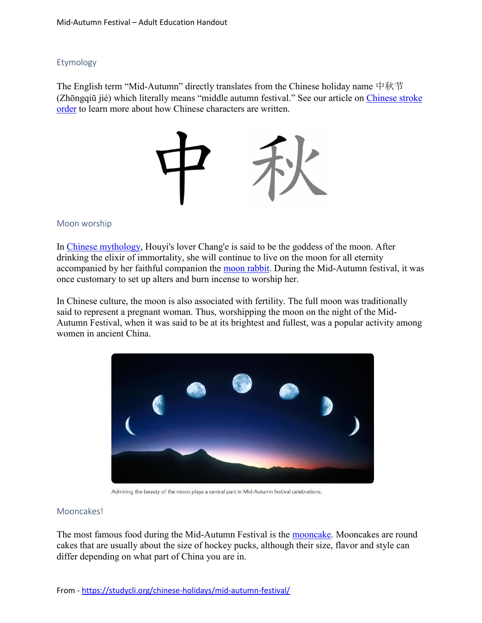#### Etymology

The English term "Mid-Autumn" directly translates from the Chinese holiday name 中秋节 (Zhōngqiū jié) which literally means "middle autumn festival." See our article on [Chinese stroke](https://studycli.org/chinese-characters/chinese-stroke-order/)  [order](https://studycli.org/chinese-characters/chinese-stroke-order/) to learn more about how Chinese characters are written.



#### Moon worship

In [Chinese mythology,](https://studycli.org/chinese-culture/religion-in-ancient-china/#Chinese_mythology) Houyi's lover Chang'e is said to be the goddess of the moon. After drinking the elixir of immortality, she will continue to live on the moon for all eternity accompanied by her faithful companion the [moon rabbit.](https://studycli.org/chinese-zodiac/year-of-the-rabbit/#The_Mid-Autumn_Festival) During the Mid-Autumn festival, it was once customary to set up alters and burn incense to worship her.

In Chinese culture, the moon is also associated with fertility. The full moon was traditionally said to represent a pregnant woman. Thus, worshipping the moon on the night of the Mid-Autumn Festival, when it was said to be at its brightest and fullest, was a popular activity among women in ancient China.



Admiring the beauty of the moon plays a central part in Mid-Autumn festival celebrations.

#### Mooncakes!

The most famous food during the Mid-Autumn Festival is the [mooncake.](https://en.wikipedia.org/wiki/Mooncake) Mooncakes are round cakes that are usually about the size of hockey pucks, although their size, flavor and style can differ depending on what part of China you are in.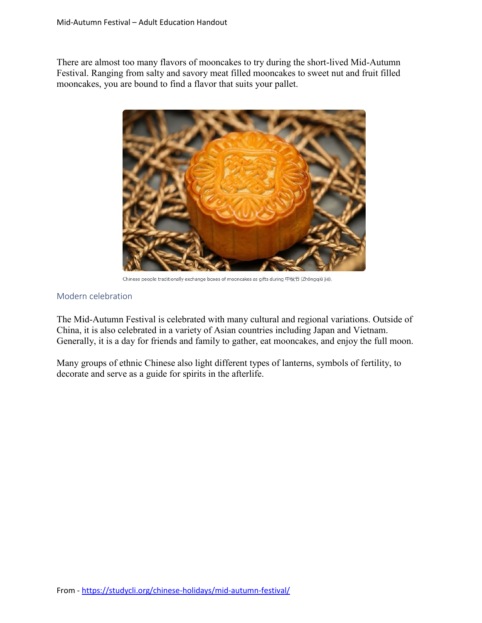There are almost too many flavors of mooncakes to try during the short-lived Mid-Autumn Festival. Ranging from salty and savory meat filled mooncakes to sweet nut and fruit filled mooncakes, you are bound to find a flavor that suits your pallet.



Chinese people traditionally exchange boxes of mooncakes as gifts during 中秋节 (Zhōngqiū jié).

#### Modern celebration

The Mid-Autumn Festival is celebrated with many cultural and regional variations. Outside of China, it is also celebrated in a variety of Asian countries including Japan and Vietnam. Generally, it is a day for friends and family to gather, eat mooncakes, and enjoy the full moon.

Many groups of ethnic Chinese also light different types of lanterns, symbols of fertility, to decorate and serve as a guide for spirits in the afterlife.